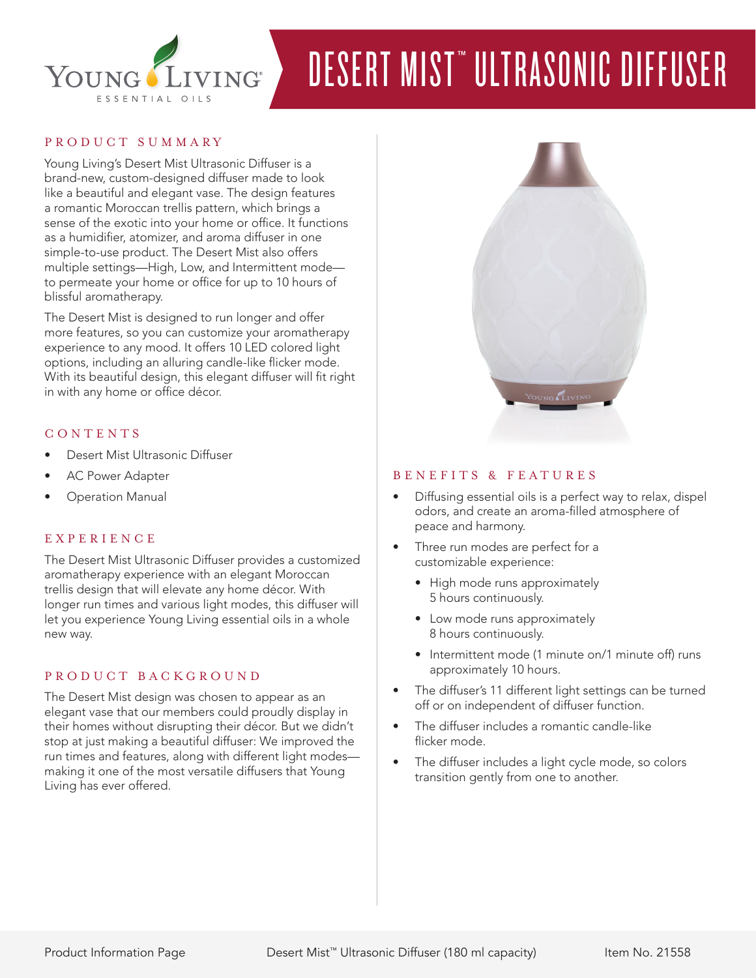

# DESERT MIST™ ULTRASONIC DIFFUSER

# PRODUCT SUMMARY

Young Living's Desert Mist Ultrasonic Diffuser is a brand-new, custom-designed diffuser made to look like a beautiful and elegant vase. The design features a romantic Moroccan trellis pattern, which brings a sense of the exotic into your home or office. It functions as a humidifier, atomizer, and aroma diffuser in one simple-to-use product. The Desert Mist also offers multiple settings—High, Low, and Intermittent mode to permeate your home or office for up to 10 hours of blissful aromatherapy.

The Desert Mist is designed to run longer and offer more features, so you can customize your aromatherapy experience to any mood. It offers 10 LED colored light options, including an alluring candle-like flicker mode. With its beautiful design, this elegant diffuser will fit right in with any home or office décor.

#### CONTENTS

- Desert Mist Ultrasonic Diffuser
- AC Power Adapter
- **Operation Manual**

## **EXPERIENCE**

The Desert Mist Ultrasonic Diffuser provides a customized aromatherapy experience with an elegant Moroccan trellis design that will elevate any home décor. With longer run times and various light modes, this diffuser will let you experience Young Living essential oils in a whole new way.

## PRODUCT BACKGROUND

The Desert Mist design was chosen to appear as an elegant vase that our members could proudly display in their homes without disrupting their décor. But we didn't stop at just making a beautiful diffuser: We improved the run times and features, along with different light modes making it one of the most versatile diffusers that Young Living has ever offered.



#### BENEFITS & FEATURES

- Diffusing essential oils is a perfect way to relax, dispel odors, and create an aroma-filled atmosphere of peace and harmony.
- Three run modes are perfect for a customizable experience:
	- High mode runs approximately 5 hours continuously.
	- Low mode runs approximately 8 hours continuously.
	- Intermittent mode (1 minute on/1 minute off) runs approximately 10 hours.
- The diffuser's 11 different light settings can be turned off or on independent of diffuser function.
- The diffuser includes a romantic candle-like flicker mode.
- The diffuser includes a light cycle mode, so colors transition gently from one to another.